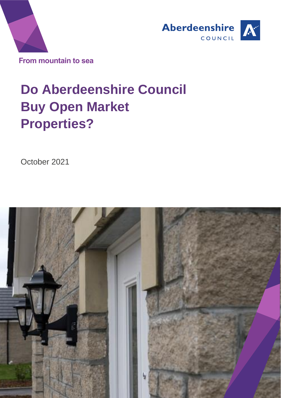



# **Rep Do Aberdeenshire Council Buy Open Market Properties?**

October 2021

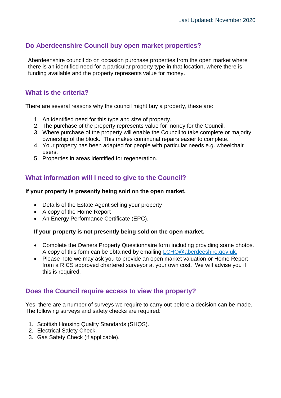# **Do Aberdeenshire Council buy open market properties?**

Aberdeenshire council do on occasion purchase properties from the open market where there is an identified need for a particular property type in that location, where there is funding available and the property represents value for money.

# **What is the criteria?**

There are several reasons why the council might buy a property, these are:

- 1. An identified need for this type and size of property.
- 2. The purchase of the property represents value for money for the Council.
- 3. Where purchase of the property will enable the Council to take complete or majority ownership of the block. This makes communal repairs easier to complete.
- 4. Your property has been adapted for people with particular needs e.g. wheelchair users.
- 5. Properties in areas identified for regeneration.

# **What information will I need to give to the Council?**

#### **If your property is presently being sold on the open market.**

- Details of the Estate Agent selling your property
- A copy of the Home Report
- An Energy Performance Certificate (EPC).

#### **If your property is not presently being sold on the open market.**

- Complete the Owners Property Questionnaire form including providing some photos. A copy of this form can be obtained by emailing [LCHO@aberdeeshire.gov.uk.](mailto:LCHO@aberdeeshire.gov.uk)
- Please note we may ask you to provide an open market valuation or Home Report from a RICS approved chartered surveyor at your own cost. We will advise you if this is required.

### **Does the Council require access to view the property?**

Yes, there are a number of surveys we require to carry out before a decision can be made. The following surveys and safety checks are required:

- 1. Scottish Housing Quality Standards (SHQS).
- 2. Electrical Safety Check.
- 3. Gas Safety Check (if applicable).